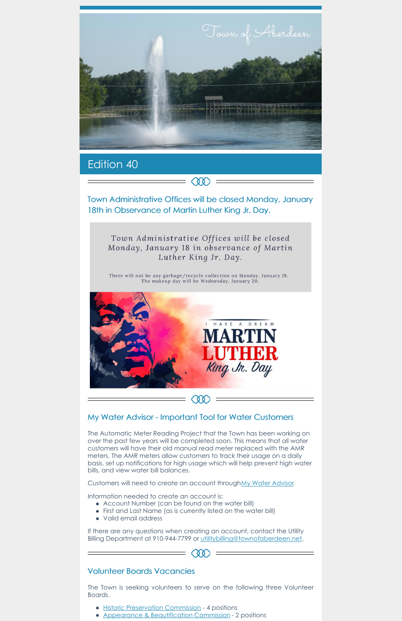

## Edition 40

Town Administrative Offices will be closed Monday, January 18th in Observance of Martin Luther King Jr. Day.

**COO** 

Town Administrative Offices will be closed Monday, January 18 in observance of Martin Luther King Jr. Day.

There will not be any garbage/recycle collection on Monday, January 18. The makeup day will be Wednesday, January 20.



## My Water Advisor - Important Tool for Water Customers

The Automatic Meter Reading Project that the Town has been working on over the past few years will be completed soon. This means that all water customers will have their old manual read meter replaced with the AMR meters. The AMR meters allow customers to track their usage on a daily basis, set up notifications for high usage which will help prevent high water bills, and view water bill balances.

If there are any questions when creating an account, contact the Utility Billing Department at 910-944-7799 or [utilitybilling@townofaberdeen.net](mailto:utilitybilling@townofaberdeen.net).

 $=$  (88)

- Historic [Preservation](https://aberdeennc.municipalone.com/newsview.aspx?nid=5965) Commission 4 positions
- Appearance & [Beautification](https://aberdeennc.municipalone.com/newsview.aspx?nid=6014) Commission 2 positions

Customers will need to create an account throughMy Water [Advisor](https://www.mywateradvisor.com/).

Information needed to create an account is:

- Account Number (can be found on the water bill)
- First and Last Name (as is currently listed on the water bill)
- Valid email address

## Volunteer Boards Vacancies

The Town is seeking volunteers to serve on the following three Volunteer Boards.